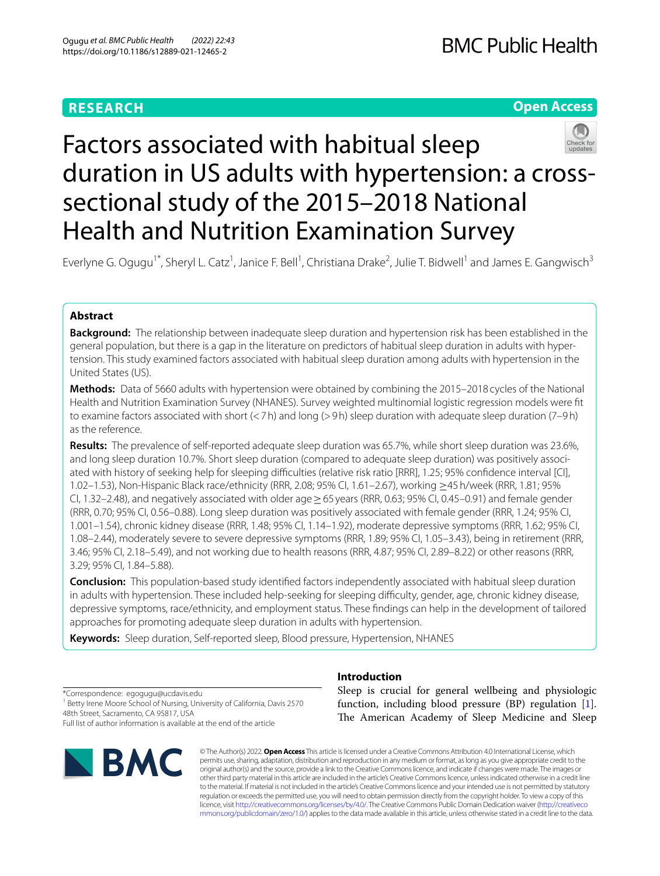# **RESEARCH**

# **Open Access**



# Factors associated with habitual sleep duration in US adults with hypertension: a crosssectional study of the 2015–2018 National Health and Nutrition Examination Survey

Everlyne G. Ogugu<sup>1\*</sup>, Sheryl L. Catz<sup>1</sup>, Janice F. Bell<sup>1</sup>, Christiana Drake<sup>2</sup>, Julie T. Bidwell<sup>1</sup> and James E. Gangwisch<sup>3</sup>

# **Abstract**

**Background:** The relationship between inadequate sleep duration and hypertension risk has been established in the general population, but there is a gap in the literature on predictors of habitual sleep duration in adults with hypertension. This study examined factors associated with habitual sleep duration among adults with hypertension in the United States (US).

**Methods:** Data of 5660 adults with hypertension were obtained by combining the 2015–2018 cycles of the National Health and Nutrition Examination Survey (NHANES). Survey weighted multinomial logistic regression models were ft to examine factors associated with short (<7h) and long (>9h) sleep duration with adequate sleep duration (7–9h) as the reference.

**Results:** The prevalence of self-reported adequate sleep duration was 65.7%, while short sleep duration was 23.6%, and long sleep duration 10.7%. Short sleep duration (compared to adequate sleep duration) was positively associated with history of seeking help for sleeping difficulties (relative risk ratio [RRR], 1.25; 95% confidence interval [CI], 1.02–1.53), Non-Hispanic Black race/ethnicity (RRR, 2.08; 95% CI, 1.61–2.67), working ≥45h/week (RRR, 1.81; 95% CI, 1.32–2.48), and negatively associated with older age≥65 years (RRR, 0.63; 95% CI, 0.45–0.91) and female gender (RRR, 0.70; 95% CI, 0.56–0.88). Long sleep duration was positively associated with female gender (RRR, 1.24; 95% CI, 1.001–1.54), chronic kidney disease (RRR, 1.48; 95% CI, 1.14–1.92), moderate depressive symptoms (RRR, 1.62; 95% CI, 1.08–2.44), moderately severe to severe depressive symptoms (RRR, 1.89; 95% CI, 1.05–3.43), being in retirement (RRR, 3.46; 95% CI, 2.18–5.49), and not working due to health reasons (RRR, 4.87; 95% CI, 2.89–8.22) or other reasons (RRR, 3.29; 95% CI, 1.84–5.88).

**Conclusion:** This population-based study identifed factors independently associated with habitual sleep duration in adults with hypertension. These included help-seeking for sleeping difficulty, gender, age, chronic kidney disease, depressive symptoms, race/ethnicity, and employment status. These fndings can help in the development of tailored approaches for promoting adequate sleep duration in adults with hypertension.

**Keywords:** Sleep duration, Self-reported sleep, Blood pressure, Hypertension, NHANES

\*Correspondence: egogugu@ucdavis.edu <sup>1</sup> Betty Irene Moore School of Nursing, University of California, Davis 2570 48th Street, Sacramento, CA 95817, USA Full list of author information is available at the end of the article



# **Introduction**

Sleep is crucial for general wellbeing and physiologic function, including blood pressure (BP) regulation [\[1](#page-11-0)]. The American Academy of Sleep Medicine and Sleep

© The Author(s) 2022. **Open Access** This article is licensed under a Creative Commons Attribution 4.0 International License, which permits use, sharing, adaptation, distribution and reproduction in any medium or format, as long as you give appropriate credit to the original author(s) and the source, provide a link to the Creative Commons licence, and indicate if changes were made. The images or other third party material in this article are included in the article's Creative Commons licence, unless indicated otherwise in a credit line to the material. If material is not included in the article's Creative Commons licence and your intended use is not permitted by statutory regulation or exceeds the permitted use, you will need to obtain permission directly from the copyright holder. To view a copy of this licence, visit [http://creativecommons.org/licenses/by/4.0/.](http://creativecommons.org/licenses/by/4.0/) The Creative Commons Public Domain Dedication waiver ([http://creativeco](http://creativecommons.org/publicdomain/zero/1.0/) [mmons.org/publicdomain/zero/1.0/](http://creativecommons.org/publicdomain/zero/1.0/)) applies to the data made available in this article, unless otherwise stated in a credit line to the data.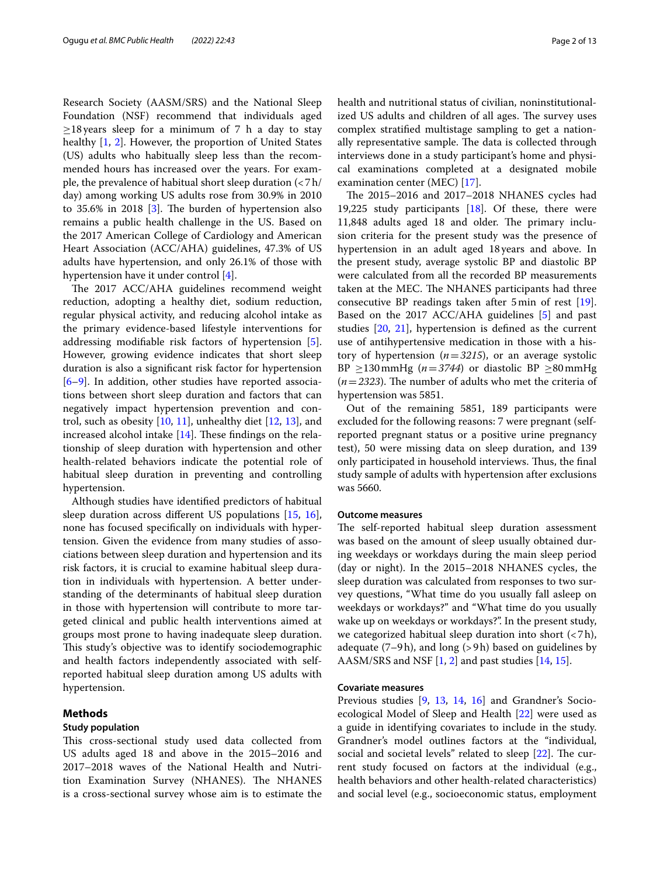Research Society (AASM/SRS) and the National Sleep Foundation (NSF) recommend that individuals aged  $\geq$ 18 years sleep for a minimum of 7 h a day to stay healthy [\[1](#page-11-0), [2](#page-11-1)]. However, the proportion of United States (US) adults who habitually sleep less than the recommended hours has increased over the years. For example, the prevalence of habitual short sleep duration (<7h/ day) among working US adults rose from 30.9% in 2010 to  $35.6\%$  $35.6\%$  in  $2018$  [3]. The burden of hypertension also remains a public health challenge in the US. Based on the 2017 American College of Cardiology and American Heart Association (ACC/AHA) guidelines, 47.3% of US adults have hypertension, and only 26.1% of those with hypertension have it under control [[4\]](#page-11-3).

The 2017 ACC/AHA guidelines recommend weight reduction, adopting a healthy diet, sodium reduction, regular physical activity, and reducing alcohol intake as the primary evidence-based lifestyle interventions for addressing modifable risk factors of hypertension [\[5](#page-11-4)]. However, growing evidence indicates that short sleep duration is also a signifcant risk factor for hypertension [[6–](#page-11-5)[9\]](#page-11-6). In addition, other studies have reported associations between short sleep duration and factors that can negatively impact hypertension prevention and control, such as obesity  $[10, 11]$  $[10, 11]$  $[10, 11]$  $[10, 11]$ , unhealthy diet  $[12, 13]$  $[12, 13]$  $[12, 13]$  $[12, 13]$ , and increased alcohol intake  $[14]$  $[14]$ . These findings on the relationship of sleep duration with hypertension and other health-related behaviors indicate the potential role of habitual sleep duration in preventing and controlling hypertension.

Although studies have identifed predictors of habitual sleep duration across diferent US populations [\[15](#page-11-12), [16](#page-11-13)], none has focused specifcally on individuals with hypertension. Given the evidence from many studies of associations between sleep duration and hypertension and its risk factors, it is crucial to examine habitual sleep duration in individuals with hypertension. A better understanding of the determinants of habitual sleep duration in those with hypertension will contribute to more targeted clinical and public health interventions aimed at groups most prone to having inadequate sleep duration. This study's objective was to identify sociodemographic and health factors independently associated with selfreported habitual sleep duration among US adults with hypertension.

# **Methods**

#### **Study population**

This cross-sectional study used data collected from US adults aged 18 and above in the 2015–2016 and 2017–2018 waves of the National Health and Nutrition Examination Survey (NHANES). The NHANES is a cross-sectional survey whose aim is to estimate the health and nutritional status of civilian, noninstitutionalized US adults and children of all ages. The survey uses complex stratifed multistage sampling to get a nationally representative sample. The data is collected through interviews done in a study participant's home and physical examinations completed at a designated mobile examination center (MEC) [\[17](#page-11-14)].

The 2015–2016 and 2017–2018 NHANES cycles had 19,225 study participants  $[18]$ . Of these, there were 11,848 adults aged 18 and older. The primary inclusion criteria for the present study was the presence of hypertension in an adult aged 18years and above. In the present study, average systolic BP and diastolic BP were calculated from all the recorded BP measurements taken at the MEC. The NHANES participants had three consecutive BP readings taken after 5min of rest [\[19](#page-11-16)]. Based on the 2017 ACC/AHA guidelines [\[5](#page-11-4)] and past studies [\[20](#page-11-17), [21](#page-11-18)], hypertension is defned as the current use of antihypertensive medication in those with a history of hypertension (*n*=*3215*), or an average systolic BP  $\geq$ 130mmHg (*n*=3744) or diastolic BP  $\geq$ 80mmHg  $(n=2323)$ . The number of adults who met the criteria of hypertension was 5851.

Out of the remaining 5851, 189 participants were excluded for the following reasons: 7 were pregnant (selfreported pregnant status or a positive urine pregnancy test), 50 were missing data on sleep duration, and 139 only participated in household interviews. Thus, the final study sample of adults with hypertension after exclusions was 5660.

#### **Outcome measures**

The self-reported habitual sleep duration assessment was based on the amount of sleep usually obtained during weekdays or workdays during the main sleep period (day or night). In the 2015–2018 NHANES cycles, the sleep duration was calculated from responses to two survey questions, "What time do you usually fall asleep on weekdays or workdays?" and "What time do you usually wake up on weekdays or workdays?". In the present study, we categorized habitual sleep duration into short (<7h), adequate  $(7–9h)$ , and long  $(>9h)$  based on guidelines by AASM/SRS and NSF [\[1,](#page-11-0) [2](#page-11-1)] and past studies [[14,](#page-11-11) [15\]](#page-11-12).

## **Covariate measures**

Previous studies [[9,](#page-11-6) [13](#page-11-10), [14,](#page-11-11) [16](#page-11-13)] and Grandner's Socioecological Model of Sleep and Health [\[22](#page-11-19)] were used as a guide in identifying covariates to include in the study. Grandner's model outlines factors at the "individual, social and societal levels" related to sleep  $[22]$  $[22]$ . The current study focused on factors at the individual (e.g., health behaviors and other health-related characteristics) and social level (e.g., socioeconomic status, employment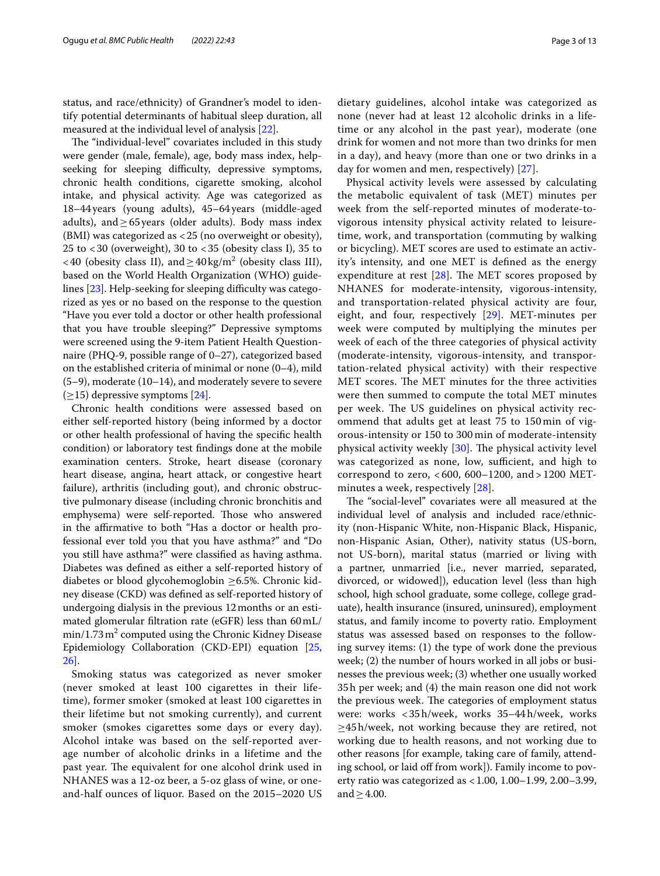status, and race/ethnicity) of Grandner's model to identify potential determinants of habitual sleep duration, all measured at the individual level of analysis [\[22](#page-11-19)].

The "individual-level" covariates included in this study were gender (male, female), age, body mass index, helpseeking for sleeping difficulty, depressive symptoms, chronic health conditions, cigarette smoking, alcohol intake, and physical activity. Age was categorized as 18–44years (young adults), 45–64years (middle-aged adults), and  $\geq$  65 years (older adults). Body mass index (BMI) was categorized as <25 (no overweight or obesity), 25 to  $<$  30 (overweight), 30 to  $<$  35 (obesity class I), 35 to <40 (obesity class II), and  $\geq$  40 kg/m<sup>2</sup> (obesity class III), based on the World Health Organization (WHO) guidelines  $[23]$ . Help-seeking for sleeping difficulty was categorized as yes or no based on the response to the question "Have you ever told a doctor or other health professional that you have trouble sleeping?" Depressive symptoms were screened using the 9-item Patient Health Questionnaire (PHQ-9, possible range of 0–27), categorized based on the established criteria of minimal or none (0–4), mild (5–9), moderate (10–14), and moderately severe to severe  $(\geq$ 15) depressive symptoms [\[24](#page-11-21)].

Chronic health conditions were assessed based on either self-reported history (being informed by a doctor or other health professional of having the specifc health condition) or laboratory test fndings done at the mobile examination centers. Stroke, heart disease (coronary heart disease, angina, heart attack, or congestive heart failure), arthritis (including gout), and chronic obstructive pulmonary disease (including chronic bronchitis and emphysema) were self-reported. Those who answered in the afrmative to both "Has a doctor or health professional ever told you that you have asthma?" and "Do you still have asthma?" were classifed as having asthma. Diabetes was defned as either a self-reported history of diabetes or blood glycohemoglobin ≥6.5%. Chronic kidney disease (CKD) was defned as self-reported history of undergoing dialysis in the previous 12months or an estimated glomerular fltration rate (eGFR) less than 60mL/ min/1.73 m $^2$  computed using the Chronic Kidney Disease Epidemiology Collaboration (CKD-EPI) equation [\[25](#page-11-22), [26\]](#page-11-23).

Smoking status was categorized as never smoker (never smoked at least 100 cigarettes in their lifetime), former smoker (smoked at least 100 cigarettes in their lifetime but not smoking currently), and current smoker (smokes cigarettes some days or every day). Alcohol intake was based on the self-reported average number of alcoholic drinks in a lifetime and the past year. The equivalent for one alcohol drink used in NHANES was a 12-oz beer, a 5-oz glass of wine, or oneand-half ounces of liquor. Based on the 2015–2020 US dietary guidelines, alcohol intake was categorized as none (never had at least 12 alcoholic drinks in a lifetime or any alcohol in the past year), moderate (one drink for women and not more than two drinks for men in a day), and heavy (more than one or two drinks in a day for women and men, respectively) [\[27](#page-11-24)].

Physical activity levels were assessed by calculating the metabolic equivalent of task (MET) minutes per week from the self-reported minutes of moderate-tovigorous intensity physical activity related to leisuretime, work, and transportation (commuting by walking or bicycling). MET scores are used to estimate an activity's intensity, and one MET is defned as the energy expenditure at rest  $[28]$  $[28]$ . The MET scores proposed by NHANES for moderate-intensity, vigorous-intensity, and transportation-related physical activity are four, eight, and four, respectively [[29](#page-11-26)]. MET-minutes per week were computed by multiplying the minutes per week of each of the three categories of physical activity (moderate-intensity, vigorous-intensity, and transportation-related physical activity) with their respective MET scores. The MET minutes for the three activities were then summed to compute the total MET minutes per week. The US guidelines on physical activity recommend that adults get at least 75 to 150 min of vigorous-intensity or 150 to 300 min of moderate-intensity physical activity weekly  $[30]$  $[30]$ . The physical activity level was categorized as none, low, sufficient, and high to correspond to zero, < 600, 600–1200, and > 1200 METminutes a week, respectively [[28\]](#page-11-25).

The "social-level" covariates were all measured at the individual level of analysis and included race/ethnicity (non-Hispanic White, non-Hispanic Black, Hispanic, non-Hispanic Asian, Other), nativity status (US-born, not US-born), marital status (married or living with a partner, unmarried [i.e., never married, separated, divorced, or widowed]), education level (less than high school, high school graduate, some college, college graduate), health insurance (insured, uninsured), employment status, and family income to poverty ratio. Employment status was assessed based on responses to the following survey items: (1) the type of work done the previous week; (2) the number of hours worked in all jobs or businesses the previous week; (3) whether one usually worked 35h per week; and (4) the main reason one did not work the previous week. The categories of employment status were: works <35h/week, works 35–44h/week, works  $\geq$ 45h/week, not working because they are retired, not working due to health reasons, and not working due to other reasons [for example, taking care of family, attending school, or laid off from work]). Family income to poverty ratio was categorized as <1.00, 1.00–1.99, 2.00–3.99, and  $>4.00$ .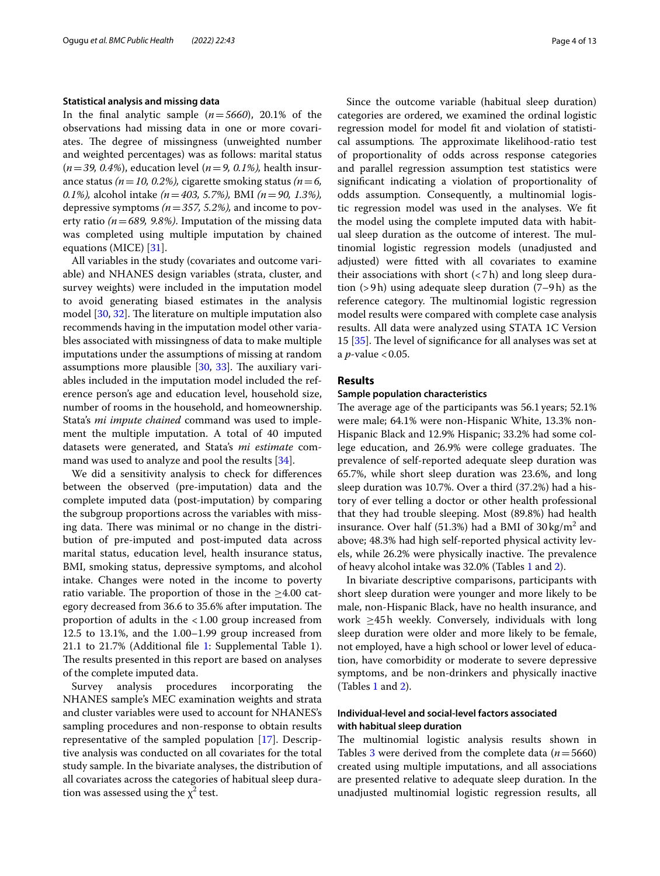#### **Statistical analysis and missing data**

In the final analytic sample  $(n=5660)$ , 20.1% of the observations had missing data in one or more covariates. The degree of missingness (unweighted number and weighted percentages) was as follows: marital status (*n*=*39, 0.4%*), education level (*n*=*9, 0.1%),* health insurance status *(n*=*10, 0.2%),* cigarette smoking status *(n*=*6, 0.1%),* alcohol intake *(n*=*403, 5.7%),* BMI *(n*=*90, 1.3%),* depressive symptoms *(n*=*357, 5.2%),* and income to poverty ratio *(n*=*689, 9.8%)*. Imputation of the missing data was completed using multiple imputation by chained equations (MICE) [[31](#page-11-28)].

All variables in the study (covariates and outcome variable) and NHANES design variables (strata, cluster, and survey weights) were included in the imputation model to avoid generating biased estimates in the analysis model [[30,](#page-11-27) [32](#page-11-29)]. The literature on multiple imputation also recommends having in the imputation model other variables associated with missingness of data to make multiple imputations under the assumptions of missing at random assumptions more plausible  $[30, 33]$  $[30, 33]$  $[30, 33]$ . The auxiliary variables included in the imputation model included the reference person's age and education level, household size, number of rooms in the household, and homeownership. Stata's *mi impute chained* command was used to implement the multiple imputation. A total of 40 imputed datasets were generated, and Stata's *mi estimate* command was used to analyze and pool the results [\[34\]](#page-11-31).

We did a sensitivity analysis to check for diferences between the observed (pre-imputation) data and the complete imputed data (post-imputation) by comparing the subgroup proportions across the variables with missing data. There was minimal or no change in the distribution of pre-imputed and post-imputed data across marital status, education level, health insurance status, BMI, smoking status, depressive symptoms, and alcohol intake. Changes were noted in the income to poverty ratio variable. The proportion of those in the  $\geq$ 4.00 category decreased from 36.6 to 35.6% after imputation. The proportion of adults in the <1.00 group increased from 12.5 to 13.1%, and the 1.00–1.99 group increased from 21.1 to 21.7% (Additional fle [1](#page-10-0): Supplemental Table 1). The results presented in this report are based on analyses of the complete imputed data.

Survey analysis procedures incorporating the NHANES sample's MEC examination weights and strata and cluster variables were used to account for NHANES's sampling procedures and non-response to obtain results representative of the sampled population [\[17\]](#page-11-14). Descriptive analysis was conducted on all covariates for the total study sample. In the bivariate analyses, the distribution of all covariates across the categories of habitual sleep duration was assessed using the  $\chi^2$  test.

Since the outcome variable (habitual sleep duration) categories are ordered, we examined the ordinal logistic regression model for model ft and violation of statistical assumptions. The approximate likelihood-ratio test of proportionality of odds across response categories and parallel regression assumption test statistics were signifcant indicating a violation of proportionality of odds assumption. Consequently, a multinomial logistic regression model was used in the analyses. We ft the model using the complete imputed data with habitual sleep duration as the outcome of interest. The multinomial logistic regression models (unadjusted and adjusted) were ftted with all covariates to examine their associations with short  $\left\langle \langle 7h \rangle \right\rangle$  and long sleep duration (>9h) using adequate sleep duration (7–9h) as the reference category. The multinomial logistic regression model results were compared with complete case analysis results. All data were analyzed using STATA 1C Version 15  $[35]$ . The level of significance for all analyses was set at a *p*-value < 0.05.

# **Results**

#### **Sample population characteristics**

The average age of the participants was 56.1 years; 52.1% were male; 64.1% were non-Hispanic White, 13.3% non-Hispanic Black and 12.9% Hispanic; 33.2% had some college education, and 26.9% were college graduates. The prevalence of self-reported adequate sleep duration was 65.7%, while short sleep duration was 23.6%, and long sleep duration was 10.7%. Over a third (37.2%) had a history of ever telling a doctor or other health professional that they had trouble sleeping. Most (89.8%) had health insurance. Over half (51.3%) had a BMI of  $30 \text{ kg/m}^2$  and above; 48.3% had high self-reported physical activity levels, while 26.2% were physically inactive. The prevalence of heavy alcohol intake was 32.0% (Tables [1](#page-4-0) and [2](#page-5-0)).

In bivariate descriptive comparisons, participants with short sleep duration were younger and more likely to be male, non-Hispanic Black, have no health insurance, and work  $\geq 45$ h weekly. Conversely, individuals with long sleep duration were older and more likely to be female, not employed, have a high school or lower level of education, have comorbidity or moderate to severe depressive symptoms, and be non-drinkers and physically inactive (Tables [1](#page-4-0) and [2](#page-5-0)).

# **Individual‑level and social‑level factors associated with habitual sleep duration**

The multinomial logistic analysis results shown in Tables [3](#page-6-0) were derived from the complete data  $(n=5660)$ created using multiple imputations, and all associations are presented relative to adequate sleep duration. In the unadjusted multinomial logistic regression results, all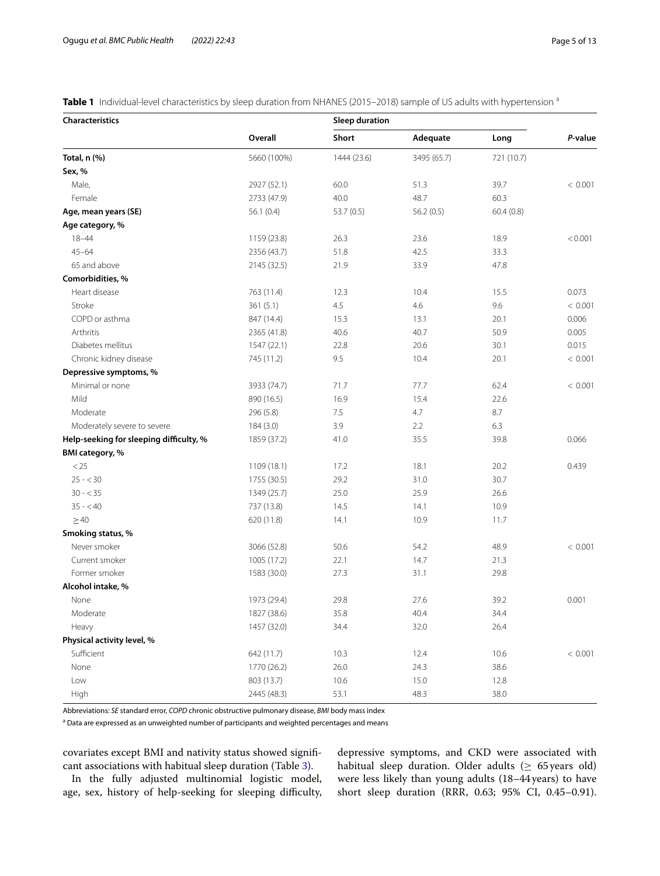<span id="page-4-0"></span>**Table 1** Individual-level characteristics by sleep duration from NHANES (2015–2018) sample of US adults with hypertension <sup>a</sup>

| Characteristics                         |             |             | <b>Sleep duration</b> |            |         |  |
|-----------------------------------------|-------------|-------------|-----------------------|------------|---------|--|
|                                         | Overall     | Short       | Adequate              | Long       | P-value |  |
| Total, n (%)                            | 5660 (100%) | 1444 (23.6) | 3495 (65.7)           | 721 (10.7) |         |  |
| Sex, %                                  |             |             |                       |            |         |  |
| Male,                                   | 2927 (52.1) | 60.0        | 51.3                  | 39.7       | < 0.001 |  |
| Female                                  | 2733 (47.9) | 40.0        | 48.7                  | 60.3       |         |  |
| Age, mean years (SE)                    | 56.1(0.4)   | 53.7 (0.5)  | 56.2(0.5)             | 60.4(0.8)  |         |  |
| Age category, %                         |             |             |                       |            |         |  |
| $18 - 44$                               | 1159 (23.8) | 26.3        | 23.6                  | 18.9       | < 0.001 |  |
| $45 - 64$                               | 2356 (43.7) | 51.8        | 42.5                  | 33.3       |         |  |
| 65 and above                            | 2145 (32.5) | 21.9        | 33.9                  | 47.8       |         |  |
| Comorbidities, %                        |             |             |                       |            |         |  |
| Heart disease                           | 763 (11.4)  | 12.3        | 10.4                  | 15.5       | 0.073   |  |
| Stroke                                  | 361(5.1)    | 4.5         | 4.6                   | 9.6        | < 0.001 |  |
| COPD or asthma                          | 847 (14.4)  | 15.3        | 13.1                  | 20.1       | 0.006   |  |
| Arthritis                               | 2365 (41.8) | 40.6        | 40.7                  | 50.9       | 0.005   |  |
| Diabetes mellitus                       | 1547 (22.1) | 22.8        | 20.6                  | 30.1       | 0.015   |  |
| Chronic kidney disease                  | 745 (11.2)  | 9.5         | 10.4                  | 20.1       | < 0.001 |  |
| Depressive symptoms, %                  |             |             |                       |            |         |  |
| Minimal or none                         | 3933 (74.7) | 71.7        | 77.7                  | 62.4       | < 0.001 |  |
| Mild                                    | 890 (16.5)  | 16.9        | 15.4                  | 22.6       |         |  |
| Moderate                                | 296 (5.8)   | 7.5         | 4.7                   | 8.7        |         |  |
| Moderately severe to severe             | 184 (3.0)   | 3.9         | 2.2                   | 6.3        |         |  |
| Help-seeking for sleeping difficulty, % | 1859 (37.2) | 41.0        | 35.5                  | 39.8       | 0.066   |  |
| BMI category, %                         |             |             |                       |            |         |  |
| < 25                                    | 1109 (18.1) | 17.2        | 18.1                  | 20.2       | 0.439   |  |
| $25 - 30$                               | 1755 (30.5) | 29.2        | 31.0                  | 30.7       |         |  |
| $30 - 35$                               | 1349 (25.7) | 25.0        | 25.9                  | 26.6       |         |  |
| $35 - 40$                               | 737 (13.8)  | 14.5        | 14.1                  | 10.9       |         |  |
| $\geq$ 40                               | 620 (11.8)  | 14.1        | 10.9                  | 11.7       |         |  |
| Smoking status, %                       |             |             |                       |            |         |  |
| Never smoker                            | 3066 (52.8) | 50.6        | 54.2                  | 48.9       | < 0.001 |  |
| Current smoker                          | 1005 (17.2) | 22.1        | 14.7                  | 21.3       |         |  |
| Former smoker                           | 1583 (30.0) | 27.3        | 31.1                  | 29.8       |         |  |
| Alcohol intake, %                       |             |             |                       |            |         |  |
| None                                    | 1973 (29.4) | 29.8        | 27.6                  | 39.2       | 0.001   |  |
| Moderate                                | 1827 (38.6) | 35.8        | 40.4                  | 34.4       |         |  |
| Heavy                                   | 1457 (32.0) | 34.4        | 32.0                  | 26.4       |         |  |
| Physical activity level, %              |             |             |                       |            |         |  |
| Sufficient                              | 642 (11.7)  | 10.3        | 12.4                  | 10.6       | < 0.001 |  |
| None                                    | 1770 (26.2) | 26.0        | 24.3                  | 38.6       |         |  |
| Low                                     | 803 (13.7)  | 10.6        | 15.0                  | 12.8       |         |  |
| High                                    | 2445 (48.3) | 53.1        | 48.3                  | 38.0       |         |  |

Abbreviations: *SE* standard error, *COPD* chronic obstructive pulmonary disease, *BMI* body mass index

<sup>a</sup> Data are expressed as an unweighted number of participants and weighted percentages and means

covariates except BMI and nativity status showed signifcant associations with habitual sleep duration (Table [3\)](#page-6-0).

In the fully adjusted multinomial logistic model, age, sex, history of help-seeking for sleeping difficulty, depressive symptoms, and CKD were associated with habitual sleep duration. Older adults ( $\geq$  65 years old) were less likely than young adults (18–44years) to have short sleep duration (RRR, 0.63; 95% CI, 0.45–0.91).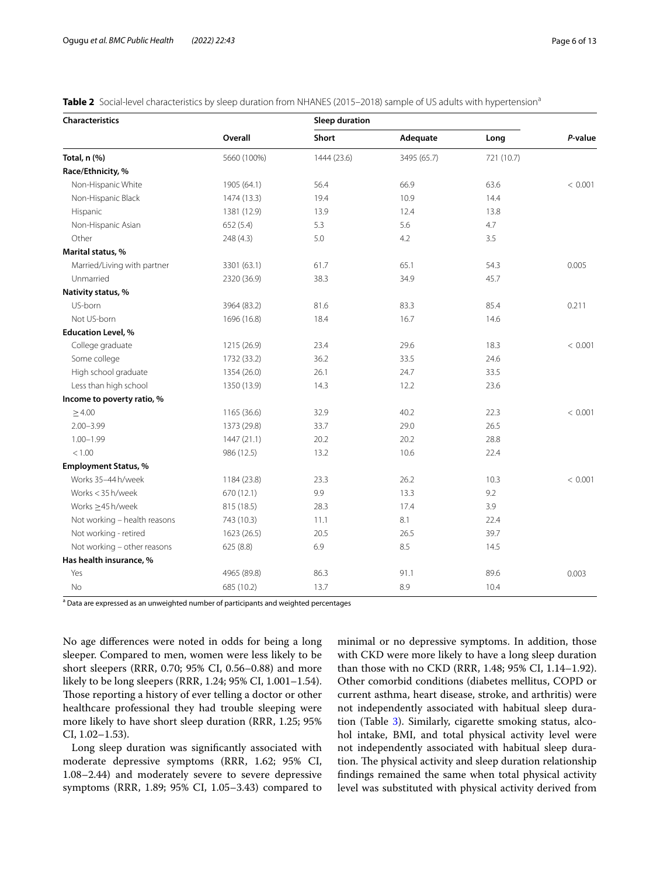<span id="page-5-0"></span>

| Table 2 Social-level characteristics by sleep duration from NHANES (2015-2018) sample of US adults with hypertension <sup>a</sup> |  |
|-----------------------------------------------------------------------------------------------------------------------------------|--|
|-----------------------------------------------------------------------------------------------------------------------------------|--|

| Characteristics              |             | <b>Sleep duration</b> |             |            |         |
|------------------------------|-------------|-----------------------|-------------|------------|---------|
|                              | Overall     | <b>Short</b>          | Adequate    | Long       | P-value |
| Total, n (%)                 | 5660 (100%) | 1444 (23.6)           | 3495 (65.7) | 721 (10.7) |         |
| Race/Ethnicity, %            |             |                       |             |            |         |
| Non-Hispanic White           | 1905 (64.1) | 56.4                  | 66.9        | 63.6       | < 0.001 |
| Non-Hispanic Black           | 1474 (13.3) | 19.4                  | 10.9        | 14.4       |         |
| Hispanic                     | 1381 (12.9) | 13.9                  | 12.4        | 13.8       |         |
| Non-Hispanic Asian           | 652(5.4)    | 5.3                   | 5.6         | 4.7        |         |
| Other                        | 248 (4.3)   | 5.0                   | 4.2         | 3.5        |         |
| Marital status, %            |             |                       |             |            |         |
| Married/Living with partner  | 3301 (63.1) | 61.7                  | 65.1        | 54.3       | 0.005   |
| Unmarried                    | 2320 (36.9) | 38.3                  | 34.9        | 45.7       |         |
| Nativity status, %           |             |                       |             |            |         |
| US-born                      | 3964 (83.2) | 81.6                  | 83.3        | 85.4       | 0.211   |
| Not US-born                  | 1696 (16.8) | 18.4                  | 16.7        | 14.6       |         |
| <b>Education Level, %</b>    |             |                       |             |            |         |
| College graduate             | 1215 (26.9) | 23.4                  | 29.6        | 18.3       | < 0.001 |
| Some college                 | 1732 (33.2) | 36.2                  | 33.5        | 24.6       |         |
| High school graduate         | 1354 (26.0) | 26.1                  | 24.7        | 33.5       |         |
| Less than high school        | 1350 (13.9) | 14.3                  | 12.2        | 23.6       |         |
| Income to poverty ratio, %   |             |                       |             |            |         |
| $\geq 4.00$                  | 1165 (36.6) | 32.9                  | 40.2        | 22.3       | < 0.001 |
| $2.00 - 3.99$                | 1373 (29.8) | 33.7                  | 29.0        | 26.5       |         |
| $1.00 - 1.99$                | 1447 (21.1) | 20.2                  | 20.2        | 28.8       |         |
| < 1.00                       | 986 (12.5)  | 13.2                  | 10.6        | 22.4       |         |
| <b>Employment Status, %</b>  |             |                       |             |            |         |
| Works 35-44 h/week           | 1184 (23.8) | 23.3                  | 26.2        | 10.3       | < 0.001 |
| Works < 35 h/week            | 670 (12.1)  | 9.9                   | 13.3        | 9.2        |         |
| Works $\geq$ 45 h/week       | 815 (18.5)  | 28.3                  | 17.4        | 3.9        |         |
| Not working - health reasons | 743 (10.3)  | 11.1                  | 8.1         | 22.4       |         |
| Not working - retired        | 1623 (26.5) | 20.5                  | 26.5        | 39.7       |         |
| Not working - other reasons  | 625 (8.8)   | 6.9                   | 8.5         | 14.5       |         |
| Has health insurance, %      |             |                       |             |            |         |
| Yes                          | 4965 (89.8) | 86.3                  | 91.1        | 89.6       | 0.003   |
| No                           | 685 (10.2)  | 13.7                  | 8.9         | 10.4       |         |

<sup>a</sup> Data are expressed as an unweighted number of participants and weighted percentages

No age diferences were noted in odds for being a long sleeper. Compared to men, women were less likely to be short sleepers (RRR, 0.70; 95% CI, 0.56–0.88) and more likely to be long sleepers (RRR, 1.24; 95% CI, 1.001–1.54). Those reporting a history of ever telling a doctor or other healthcare professional they had trouble sleeping were more likely to have short sleep duration (RRR, 1.25; 95% CI, 1.02–1.53).

Long sleep duration was signifcantly associated with moderate depressive symptoms (RRR, 1.62; 95% CI, 1.08–2.44) and moderately severe to severe depressive symptoms (RRR, 1.89; 95% CI, 1.05–3.43) compared to minimal or no depressive symptoms. In addition, those with CKD were more likely to have a long sleep duration than those with no CKD (RRR, 1.48; 95% CI, 1.14–1.92). Other comorbid conditions (diabetes mellitus, COPD or current asthma, heart disease, stroke, and arthritis) were not independently associated with habitual sleep duration (Table [3](#page-6-0)). Similarly, cigarette smoking status, alcohol intake, BMI, and total physical activity level were not independently associated with habitual sleep duration. The physical activity and sleep duration relationship fndings remained the same when total physical activity level was substituted with physical activity derived from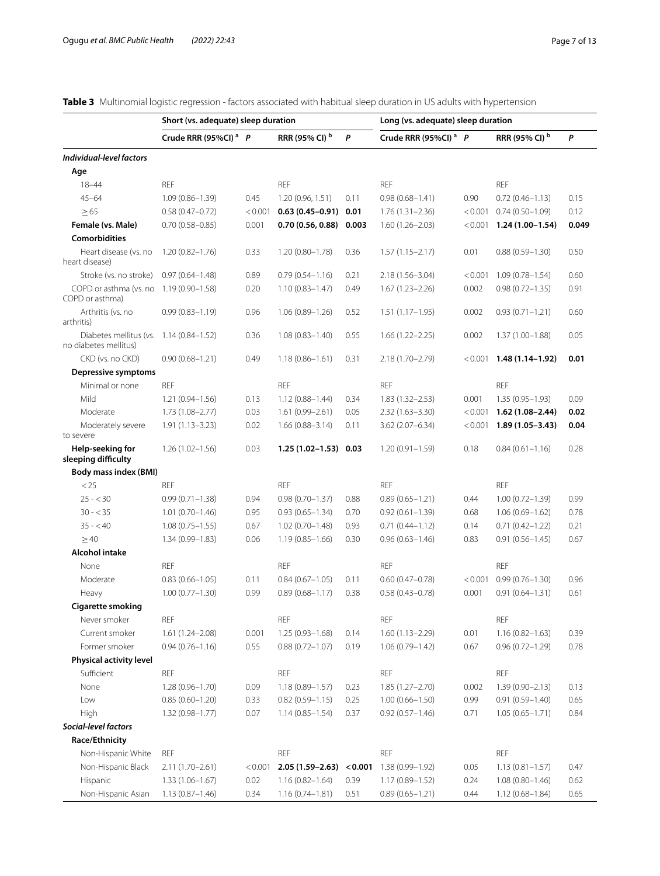| Page 7 of 13 |  |  |
|--------------|--|--|
|--------------|--|--|

<span id="page-6-0"></span>

|  |  | <b>Table 3</b> Multinomial logistic regression - factors associated with habitual sleep duration in US adults with hypertension |  |
|--|--|---------------------------------------------------------------------------------------------------------------------------------|--|
|  |  |                                                                                                                                 |  |

|                                                                  | Short (vs. adequate) sleep duration |         |                           |         | Long (vs. adequate) sleep duration |         |                           |       |
|------------------------------------------------------------------|-------------------------------------|---------|---------------------------|---------|------------------------------------|---------|---------------------------|-------|
|                                                                  | Crude RRR (95%CI) <sup>a</sup> P    |         | RRR (95% CI) <sup>b</sup> | P       | Crude RRR (95%CI) <sup>a</sup> P   |         | RRR (95% CI) <sup>b</sup> | P     |
| Individual-level factors                                         |                                     |         |                           |         |                                    |         |                           |       |
| Age                                                              |                                     |         |                           |         |                                    |         |                           |       |
| $18 - 44$                                                        | <b>REF</b>                          |         | <b>REF</b>                |         | <b>REF</b>                         |         | <b>REF</b>                |       |
| $45 - 64$                                                        | $1.09(0.86 - 1.39)$                 | 0.45    | 1.20 (0.96, 1.51)         | 0.11    | $0.98(0.68 - 1.41)$                | 0.90    | $0.72(0.46 - 1.13)$       | 0.15  |
| $\geq 65$                                                        | $0.58(0.47 - 0.72)$                 | < 0.001 | $0.63(0.45 - 0.91)$       | 0.01    | $1.76(1.31 - 2.36)$                | < 0.001 | $0.74(0.50 - 1.09)$       | 0.12  |
| Female (vs. Male)                                                | $0.70(0.58 - 0.85)$                 | 0.001   | 0.70(0.56, 0.88)          | 0.003   | $1.60(1.26 - 2.03)$                | < 0.001 | $1.24(1.00-1.54)$         | 0.049 |
| <b>Comorbidities</b>                                             |                                     |         |                           |         |                                    |         |                           |       |
| Heart disease (vs. no<br>heart disease)                          | $1.20(0.82 - 1.76)$                 | 0.33    | $1.20(0.80 - 1.78)$       | 0.36    | $1.57(1.15 - 2.17)$                | 0.01    | $0.88(0.59 - 1.30)$       | 0.50  |
| Stroke (vs. no stroke)                                           | $0.97(0.64 - 1.48)$                 | 0.89    | $0.79(0.54 - 1.16)$       | 0.21    | 2.18 (1.56-3.04)                   | < 0.001 | $1.09(0.78 - 1.54)$       | 0.60  |
| COPD or asthma (vs. no<br>COPD or asthma)                        | $1.19(0.90 - 1.58)$                 | 0.20    | $1.10(0.83 - 1.47)$       | 0.49    | $1.67(1.23 - 2.26)$                | 0.002   | $0.98(0.72 - 1.35)$       | 0.91  |
| Arthritis (vs. no<br>arthritis)                                  | $0.99(0.83 - 1.19)$                 | 0.96    | $1.06(0.89 - 1.26)$       | 0.52    | $1.51(1.17-1.95)$                  | 0.002   | $0.93(0.71 - 1.21)$       | 0.60  |
| Diabetes mellitus (vs. 1.14 (0.84-1.52)<br>no diabetes mellitus) |                                     | 0.36    | $1.08(0.83 - 1.40)$       | 0.55    | $1.66(1.22 - 2.25)$                | 0.002   | $1.37(1.00 - 1.88)$       | 0.05  |
| CKD (vs. no CKD)                                                 | $0.90(0.68 - 1.21)$                 | 0.49    | $1.18(0.86 - 1.61)$       | 0.31    | 2.18 (1.70-2.79)                   | < 0.001 | 1.48 (1.14-1.92)          | 0.01  |
| <b>Depressive symptoms</b>                                       |                                     |         |                           |         |                                    |         |                           |       |
| Minimal or none                                                  | <b>REF</b>                          |         | <b>REF</b>                |         | <b>REF</b>                         |         | <b>REF</b>                |       |
| Mild                                                             | $1.21(0.94 - 1.56)$                 | 0.13    | $1.12(0.88 - 1.44)$       | 0.34    | $1.83(1.32 - 2.53)$                | 0.001   | $1.35(0.95 - 1.93)$       | 0.09  |
| Moderate                                                         | $1.73(1.08 - 2.77)$                 | 0.03    | $1.61(0.99 - 2.61)$       | 0.05    | $2.32(1.63 - 3.30)$                | < 0.001 | $1.62(1.08 - 2.44)$       | 0.02  |
| Moderately severe<br>to severe                                   | $1.91(1.13 - 3.23)$                 | 0.02    | $1.66(0.88 - 3.14)$       | 0.11    | $3.62(2.07 - 6.34)$                | < 0.001 | $1.89(1.05 - 3.43)$       | 0.04  |
| Help-seeking for<br>sleeping difficulty                          | $1.26(1.02 - 1.56)$                 | 0.03    | $1.25(1.02 - 1.53)$ 0.03  |         | $1.20(0.91 - 1.59)$                | 0.18    | $0.84(0.61 - 1.16)$       | 0.28  |
| <b>Body mass index (BMI)</b>                                     |                                     |         |                           |         |                                    |         |                           |       |
| < 25                                                             | <b>REF</b>                          |         | <b>REF</b>                |         | <b>REF</b>                         |         | <b>REF</b>                |       |
| $25 - 30$                                                        | $0.99(0.71 - 1.38)$                 | 0.94    | $0.98(0.70 - 1.37)$       | 0.88    | $0.89(0.65 - 1.21)$                | 0.44    | $1.00(0.72 - 1.39)$       | 0.99  |
| $30 - 35$                                                        | $1.01(0.70 - 1.46)$                 | 0.95    | $0.93(0.65 - 1.34)$       | 0.70    | $0.92(0.61 - 1.39)$                | 0.68    | $1.06(0.69 - 1.62)$       | 0.78  |
| $35 - 40$                                                        | $1.08(0.75 - 1.55)$                 | 0.67    | $1.02(0.70 - 1.48)$       | 0.93    | $0.71(0.44 - 1.12)$                | 0.14    | $0.71(0.42 - 1.22)$       | 0.21  |
| >40                                                              | $1.34(0.99 - 1.83)$                 | 0.06    | $1.19(0.85 - 1.66)$       | 0.30    | $0.96(0.63 - 1.46)$                | 0.83    | $0.91(0.56 - 1.45)$       | 0.67  |
| <b>Alcohol intake</b>                                            |                                     |         |                           |         |                                    |         |                           |       |
| None                                                             | <b>REF</b>                          |         | <b>REF</b>                |         | <b>REF</b>                         |         | <b>REF</b>                |       |
| Moderate                                                         | $0.83(0.66 - 1.05)$                 | 0.11    | $0.84(0.67 - 1.05)$       | 0.11    | $0.60(0.47 - 0.78)$                | < 0.001 | $0.99(0.76 - 1.30)$       | 0.96  |
| Heavy                                                            | $1.00(0.77 - 1.30)$                 | 0.99    | $0.89(0.68 - 1.17)$       | 0.38    | $0.58(0.43 - 0.78)$                | 0.001   | $0.91(0.64 - 1.31)$       | 0.61  |
| <b>Cigarette smoking</b>                                         |                                     |         |                           |         |                                    |         |                           |       |
| Never smoker                                                     | REF                                 |         | <b>REF</b>                |         | <b>REF</b>                         |         | <b>REF</b>                |       |
| Current smoker                                                   | 1.61 (1.24-2.08)                    | 0.001   | 1.25 (0.93-1.68)          | 0.14    | 1.60 (1.13-2.29)                   | 0.01    | $1.16(0.82 - 1.63)$       | 0.39  |
| Former smoker                                                    | $0.94(0.76 - 1.16)$                 | 0.55    | $0.88(0.72 - 1.07)$       | 0.19    | $1.06(0.79 - 1.42)$                | 0.67    | $0.96(0.72 - 1.29)$       | 0.78  |
| Physical activity level                                          |                                     |         |                           |         |                                    |         |                           |       |
| Sufficient                                                       | REF                                 |         | <b>REF</b>                |         | <b>REF</b>                         |         | <b>REF</b>                |       |
| None                                                             | 1.28 (0.96-1.70)                    | 0.09    | $1.18(0.89 - 1.57)$       | 0.23    | $1.85(1.27 - 2.70)$                | 0.002   | $1.39(0.90 - 2.13)$       | 0.13  |
| Low                                                              | $0.85(0.60 - 1.20)$                 | 0.33    | $0.82(0.59 - 1.15)$       | 0.25    | $1.00(0.66 - 1.50)$                | 0.99    | $0.91(0.59 - 1.40)$       | 0.65  |
| High                                                             | $1.32(0.98 - 1.77)$                 | 0.07    | $1.14(0.85 - 1.54)$       | 0.37    | $0.92(0.57 - 1.46)$                | 0.71    | $1.05(0.65 - 1.71)$       | 0.84  |
| Social-level factors                                             |                                     |         |                           |         |                                    |         |                           |       |
| Race/Ethnicity                                                   |                                     |         |                           |         |                                    |         |                           |       |
| Non-Hispanic White                                               | <b>REF</b>                          |         | <b>REF</b>                |         | <b>REF</b>                         |         | <b>REF</b>                |       |
| Non-Hispanic Black                                               | $2.11(1.70 - 2.61)$                 | < 0.001 | $2.05(1.59 - 2.63)$       | < 0.001 | 1.38 (0.99-1.92)                   | 0.05    | $1.13(0.81 - 1.57)$       | 0.47  |
| Hispanic                                                         | $1.33(1.06 - 1.67)$                 | 0.02    | $1.16(0.82 - 1.64)$       | 0.39    | $1.17(0.89 - 1.52)$                | 0.24    | $1.08(0.80 - 1.46)$       | 0.62  |
| Non-Hispanic Asian                                               | $1.13(0.87 - 1.46)$                 | 0.34    | $1.16(0.74 - 1.81)$       | 0.51    | $0.89(0.65 - 1.21)$                | 0.44    | $1.12(0.68 - 1.84)$       | 0.65  |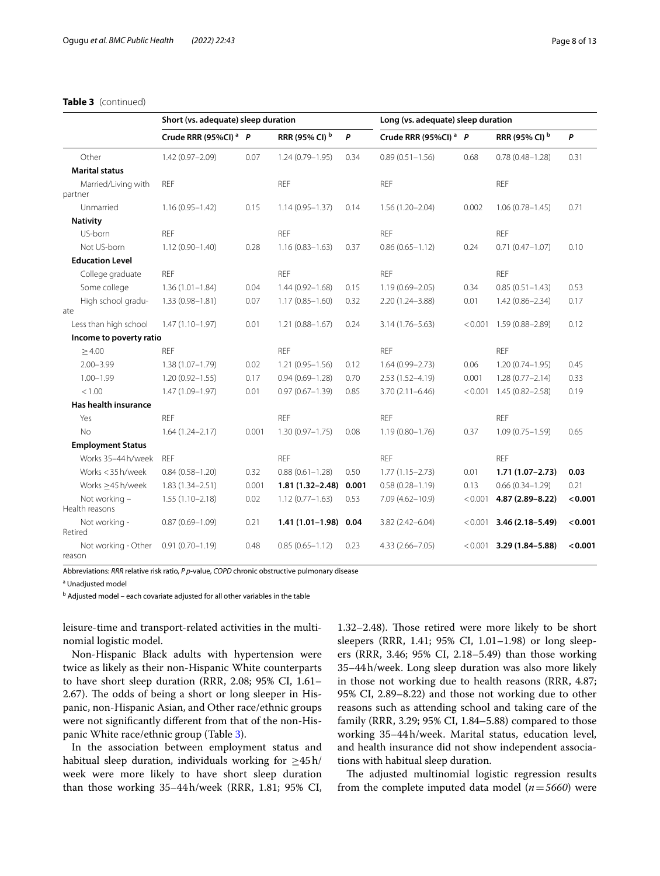## **Table 3** (continued)

|                                 | Short (vs. adequate) sleep duration |       |                       |       | Long (vs. adequate) sleep duration |         |                            |         |
|---------------------------------|-------------------------------------|-------|-----------------------|-------|------------------------------------|---------|----------------------------|---------|
|                                 | Crude RRR (95%CI) <sup>a</sup> P    |       | RRR (95% CI) b        | P     | Crude RRR (95%CI) <sup>a</sup> P   |         | RRR (95% CI) b             | P       |
| Other                           | 1.42 (0.97-2.09)                    | 0.07  | $1.24(0.79 - 1.95)$   | 0.34  | $0.89(0.51 - 1.56)$                | 0.68    | $0.78(0.48 - 1.28)$        | 0.31    |
| <b>Marital status</b>           |                                     |       |                       |       |                                    |         |                            |         |
| Married/Living with<br>partner  | <b>REF</b>                          |       | <b>REF</b>            |       | <b>REF</b>                         |         | <b>REF</b>                 |         |
| Unmarried                       | $1.16(0.95 - 1.42)$                 | 0.15  | $1.14(0.95 - 1.37)$   | 0.14  | $1.56(1.20 - 2.04)$                | 0.002   | $1.06(0.78 - 1.45)$        | 0.71    |
| <b>Nativity</b>                 |                                     |       |                       |       |                                    |         |                            |         |
| US-born                         | <b>REF</b>                          |       | <b>REF</b>            |       | <b>REF</b>                         |         | <b>REF</b>                 |         |
| Not US-born                     | $1.12(0.90 - 1.40)$                 | 0.28  | $1.16(0.83 - 1.63)$   | 0.37  | $0.86(0.65 - 1.12)$                | 0.24    | $0.71(0.47 - 1.07)$        | 0.10    |
| <b>Education Level</b>          |                                     |       |                       |       |                                    |         |                            |         |
| College graduate                | <b>REF</b>                          |       | <b>REF</b>            |       | <b>REF</b>                         |         | <b>REF</b>                 |         |
| Some college                    | $1.36(1.01 - 1.84)$                 | 0.04  | $1.44(0.92 - 1.68)$   | 0.15  | $1.19(0.69 - 2.05)$                | 0.34    | $0.85(0.51 - 1.43)$        | 0.53    |
| High school gradu-              | $1.33(0.98 - 1.81)$                 | 0.07  | $1.17(0.85 - 1.60)$   | 0.32  | 2.20 (1.24-3.88)                   | 0.01    | $1.42(0.86 - 2.34)$        | 0.17    |
| ate                             |                                     |       |                       |       |                                    |         |                            |         |
| Less than high school           | $1.47(1.10 - 1.97)$                 | 0.01  | $1.21(0.88 - 1.67)$   | 0.24  | $3.14(1.76 - 5.63)$                |         | $< 0.001$ 1.59 (0.88-2.89) | 0.12    |
| Income to poverty ratio         |                                     |       |                       |       |                                    |         |                            |         |
| $\geq 4.00$                     | <b>REF</b>                          |       | <b>REF</b>            |       | <b>RFF</b>                         |         | <b>REF</b>                 |         |
| $2.00 - 3.99$                   | $1.38(1.07 - 1.79)$                 | 0.02  | $1.21(0.95 - 1.56)$   | 0.12  | $1.64(0.99 - 2.73)$                | 0.06    | $1.20(0.74 - 1.95)$        | 0.45    |
| $1.00 - 1.99$                   | $1.20(0.92 - 1.55)$                 | 0.17  | $0.94(0.69 - 1.28)$   | 0.70  | $2.53(1.52 - 4.19)$                | 0.001   | $1.28(0.77 - 2.14)$        | 0.33    |
| < 1.00                          | $1.47(1.09 - 1.97)$                 | 0.01  | $0.97(0.67 - 1.39)$   | 0.85  | $3.70(2.11 - 6.46)$                | < 0.001 | $1.45(0.82 - 2.58)$        | 0.19    |
| Has health insurance            |                                     |       |                       |       |                                    |         |                            |         |
| Yes                             | <b>REF</b>                          |       | <b>REF</b>            |       | <b>REF</b>                         |         | <b>REF</b>                 |         |
| No                              | $1.64(1.24 - 2.17)$                 | 0.001 | $1.30(0.97 - 1.75)$   | 0.08  | $1.19(0.80 - 1.76)$                | 0.37    | $1.09(0.75 - 1.59)$        | 0.65    |
| <b>Employment Status</b>        |                                     |       |                       |       |                                    |         |                            |         |
| Works 35-44 h/week              | <b>REF</b>                          |       | <b>REF</b>            |       | <b>REF</b>                         |         | <b>REF</b>                 |         |
| Works < 35 h/week               | $0.84(0.58 - 1.20)$                 | 0.32  | $0.88(0.61 - 1.28)$   | 0.50  | $1.77(1.15 - 2.73)$                | 0.01    | $1.71(1.07 - 2.73)$        | 0.03    |
| Works $\geq$ 45 h/week          | $1.83(1.34 - 2.51)$                 | 0.001 | $1.81(1.32 - 2.48)$   | 0.001 | $0.58(0.28 - 1.19)$                | 0.13    | $0.66(0.34 - 1.29)$        | 0.21    |
| Not working -<br>Health reasons | $1.55(1.10-2.18)$                   | 0.02  | $1.12(0.77 - 1.63)$   | 0.53  | $7.09(4.62 - 10.9)$                | < 0.001 | 4.87 (2.89-8.22)           | < 0.001 |
| Not working -<br>Retired        | $0.87(0.69 - 1.09)$                 | 0.21  | 1.41 (1.01-1.98) 0.04 |       | $3.82(2.42 - 6.04)$                |         | $< 0.001$ 3.46 (2.18-5.49) | < 0.001 |
| Not working - Other<br>reason   | $0.91(0.70 - 1.19)$                 | 0.48  | $0.85(0.65 - 1.12)$   | 0.23  | $4.33(2.66 - 7.05)$                |         | $< 0.001$ 3.29 (1.84-5.88) | < 0.001 |

Abbreviations: *RRR* relative risk ratio, *P p*-value, *COPD* chronic obstructive pulmonary disease

<sup>a</sup> Unadjusted model

<sup>b</sup> Adjusted model – each covariate adjusted for all other variables in the table

leisure-time and transport-related activities in the multinomial logistic model.

Non-Hispanic Black adults with hypertension were twice as likely as their non-Hispanic White counterparts to have short sleep duration (RRR, 2.08; 95% CI, 1.61– 2.67). The odds of being a short or long sleeper in Hispanic, non-Hispanic Asian, and Other race/ethnic groups were not signifcantly diferent from that of the non-Hispanic White race/ethnic group (Table [3](#page-6-0)).

In the association between employment status and habitual sleep duration, individuals working for  $\geq 45$ h/ week were more likely to have short sleep duration than those working 35–44h/week (RRR, 1.81; 95% CI, 1.32–2.48). Tose retired were more likely to be short sleepers (RRR, 1.41; 95% CI, 1.01–1.98) or long sleepers (RRR, 3.46; 95% CI, 2.18–5.49) than those working 35–44h/week. Long sleep duration was also more likely in those not working due to health reasons (RRR, 4.87; 95% CI, 2.89–8.22) and those not working due to other reasons such as attending school and taking care of the family (RRR, 3.29; 95% CI, 1.84–5.88) compared to those working 35–44h/week. Marital status, education level, and health insurance did not show independent associations with habitual sleep duration.

The adjusted multinomial logistic regression results from the complete imputed data model (*n*=*5660*) were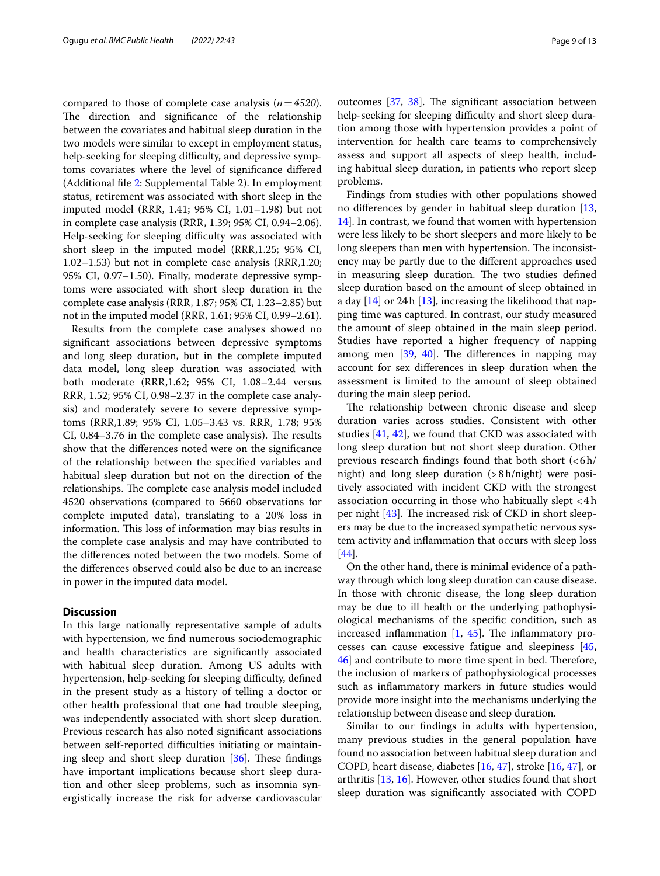compared to those of complete case analysis (*n*=*4520*). The direction and significance of the relationship between the covariates and habitual sleep duration in the two models were similar to except in employment status, help-seeking for sleeping difficulty, and depressive symptoms covariates where the level of signifcance difered (Additional fle [2](#page-10-1): Supplemental Table 2). In employment status, retirement was associated with short sleep in the imputed model (RRR, 1.41; 95% CI, 1.01–1.98) but not in complete case analysis (RRR, 1.39; 95% CI, 0.94–2.06). Help-seeking for sleeping difficulty was associated with short sleep in the imputed model (RRR,1.25; 95% CI, 1.02–1.53) but not in complete case analysis (RRR,1.20; 95% CI, 0.97–1.50). Finally, moderate depressive symptoms were associated with short sleep duration in the complete case analysis (RRR, 1.87; 95% CI, 1.23–2.85) but not in the imputed model (RRR, 1.61; 95% CI, 0.99–2.61).

Results from the complete case analyses showed no signifcant associations between depressive symptoms and long sleep duration, but in the complete imputed data model, long sleep duration was associated with both moderate (RRR,1.62; 95% CI, 1.08–2.44 versus RRR, 1.52; 95% CI, 0.98–2.37 in the complete case analysis) and moderately severe to severe depressive symptoms (RRR,1.89; 95% CI, 1.05–3.43 vs. RRR, 1.78; 95%  $CI$ , 0.84–3.76 in the complete case analysis). The results show that the diferences noted were on the signifcance of the relationship between the specifed variables and habitual sleep duration but not on the direction of the relationships. The complete case analysis model included 4520 observations (compared to 5660 observations for complete imputed data), translating to a 20% loss in information. This loss of information may bias results in the complete case analysis and may have contributed to the diferences noted between the two models. Some of the diferences observed could also be due to an increase in power in the imputed data model.

# **Discussion**

In this large nationally representative sample of adults with hypertension, we fnd numerous sociodemographic and health characteristics are signifcantly associated with habitual sleep duration. Among US adults with hypertension, help-seeking for sleeping difficulty, defined in the present study as a history of telling a doctor or other health professional that one had trouble sleeping, was independently associated with short sleep duration. Previous research has also noted signifcant associations between self-reported difficulties initiating or maintaining sleep and short sleep duration  $[36]$  $[36]$ . These findings have important implications because short sleep duration and other sleep problems, such as insomnia synergistically increase the risk for adverse cardiovascular

outcomes  $[37, 38]$  $[37, 38]$  $[37, 38]$  $[37, 38]$  $[37, 38]$ . The significant association between help-seeking for sleeping difficulty and short sleep duration among those with hypertension provides a point of intervention for health care teams to comprehensively assess and support all aspects of sleep health, including habitual sleep duration, in patients who report sleep problems.

Findings from studies with other populations showed no diferences by gender in habitual sleep duration [[13](#page-11-10), [14\]](#page-11-11). In contrast, we found that women with hypertension were less likely to be short sleepers and more likely to be long sleepers than men with hypertension. The inconsistency may be partly due to the diferent approaches used in measuring sleep duration. The two studies defined sleep duration based on the amount of sleep obtained in a day  $[14]$  $[14]$  or 24h  $[13]$  $[13]$ , increasing the likelihood that napping time was captured. In contrast, our study measured the amount of sleep obtained in the main sleep period. Studies have reported a higher frequency of napping among men  $[39, 40]$  $[39, 40]$  $[39, 40]$  $[39, 40]$ . The differences in napping may account for sex diferences in sleep duration when the assessment is limited to the amount of sleep obtained during the main sleep period.

The relationship between chronic disease and sleep duration varies across studies. Consistent with other studies [\[41](#page-11-38), [42](#page-12-0)], we found that CKD was associated with long sleep duration but not short sleep duration. Other previous research findings found that both short  $(**6**h/$ night) and long sleep duration (>8h/night) were positively associated with incident CKD with the strongest association occurring in those who habitually slept <4h per night  $[43]$  $[43]$  $[43]$ . The increased risk of CKD in short sleepers may be due to the increased sympathetic nervous system activity and infammation that occurs with sleep loss [[44\]](#page-12-2).

On the other hand, there is minimal evidence of a pathway through which long sleep duration can cause disease. In those with chronic disease, the long sleep duration may be due to ill health or the underlying pathophysiological mechanisms of the specifc condition, such as increased inflammation  $[1, 45]$  $[1, 45]$  $[1, 45]$  $[1, 45]$ . The inflammatory processes can cause excessive fatigue and sleepiness [[45](#page-12-3), [46\]](#page-12-4) and contribute to more time spent in bed. Therefore, the inclusion of markers of pathophysiological processes such as infammatory markers in future studies would provide more insight into the mechanisms underlying the relationship between disease and sleep duration.

Similar to our fndings in adults with hypertension, many previous studies in the general population have found no association between habitual sleep duration and COPD, heart disease, diabetes [[16,](#page-11-13) [47](#page-12-5)], stroke [\[16](#page-11-13), [47\]](#page-12-5), or arthritis [\[13](#page-11-10), [16\]](#page-11-13). However, other studies found that short sleep duration was signifcantly associated with COPD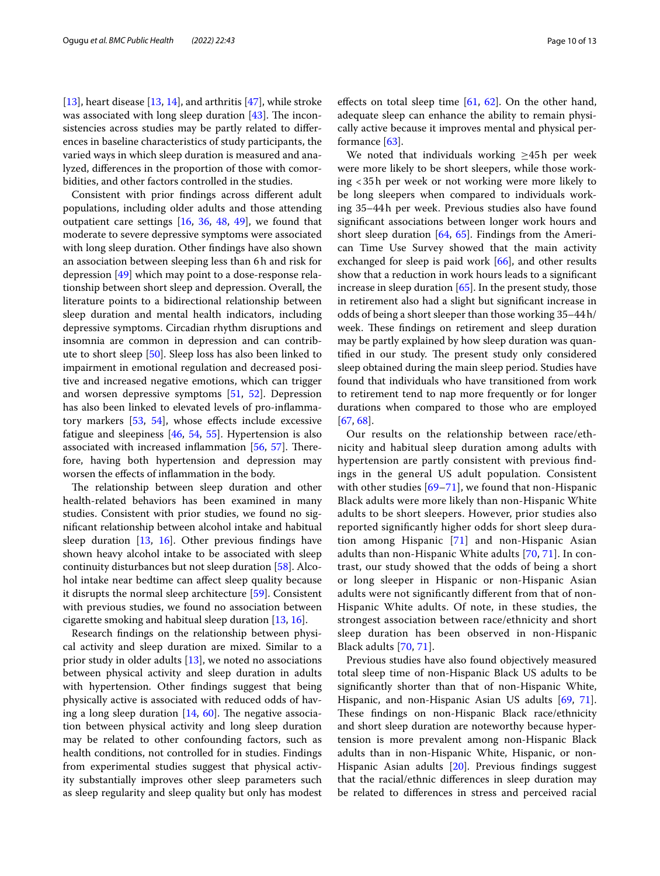[[13\]](#page-11-10), heart disease [[13,](#page-11-10) [14\]](#page-11-11), and arthritis [[47](#page-12-5)], while stroke was associated with long sleep duration  $[43]$  $[43]$ . The inconsistencies across studies may be partly related to diferences in baseline characteristics of study participants, the varied ways in which sleep duration is measured and analyzed, diferences in the proportion of those with comorbidities, and other factors controlled in the studies.

Consistent with prior fndings across diferent adult populations, including older adults and those attending outpatient care settings [\[16,](#page-11-13) [36,](#page-11-33) [48](#page-12-6), [49](#page-12-7)], we found that moderate to severe depressive symptoms were associated with long sleep duration. Other fndings have also shown an association between sleeping less than 6h and risk for depression [\[49](#page-12-7)] which may point to a dose-response relationship between short sleep and depression. Overall, the literature points to a bidirectional relationship between sleep duration and mental health indicators, including depressive symptoms. Circadian rhythm disruptions and insomnia are common in depression and can contribute to short sleep [[50\]](#page-12-8). Sleep loss has also been linked to impairment in emotional regulation and decreased positive and increased negative emotions, which can trigger and worsen depressive symptoms [[51,](#page-12-9) [52](#page-12-10)]. Depression has also been linked to elevated levels of pro-infamma-tory markers [[53,](#page-12-11) [54](#page-12-12)], whose effects include excessive fatigue and sleepiness [[46](#page-12-4), [54](#page-12-12), [55\]](#page-12-13). Hypertension is also associated with increased inflammation  $[56, 57]$  $[56, 57]$  $[56, 57]$  $[56, 57]$  $[56, 57]$ . Therefore, having both hypertension and depression may worsen the efects of infammation in the body.

The relationship between sleep duration and other health-related behaviors has been examined in many studies. Consistent with prior studies, we found no signifcant relationship between alcohol intake and habitual sleep duration [\[13,](#page-11-10) [16](#page-11-13)]. Other previous fndings have shown heavy alcohol intake to be associated with sleep continuity disturbances but not sleep duration [\[58](#page-12-16)]. Alcohol intake near bedtime can afect sleep quality because it disrupts the normal sleep architecture [[59](#page-12-17)]. Consistent with previous studies, we found no association between cigarette smoking and habitual sleep duration [\[13](#page-11-10), [16](#page-11-13)].

Research fndings on the relationship between physical activity and sleep duration are mixed. Similar to a prior study in older adults [[13\]](#page-11-10), we noted no associations between physical activity and sleep duration in adults with hypertension. Other fndings suggest that being physically active is associated with reduced odds of having a long sleep duration  $[14, 60]$  $[14, 60]$  $[14, 60]$  $[14, 60]$ . The negative association between physical activity and long sleep duration may be related to other confounding factors, such as health conditions, not controlled for in studies. Findings from experimental studies suggest that physical activity substantially improves other sleep parameters such as sleep regularity and sleep quality but only has modest efects on total sleep time [[61](#page-12-19), [62](#page-12-20)]. On the other hand, adequate sleep can enhance the ability to remain physically active because it improves mental and physical performance [\[63\]](#page-12-21).

We noted that individuals working ≥45h per week were more likely to be short sleepers, while those working <35h per week or not working were more likely to be long sleepers when compared to individuals working 35–44h per week. Previous studies also have found signifcant associations between longer work hours and short sleep duration [[64,](#page-12-22) [65](#page-12-23)]. Findings from the American Time Use Survey showed that the main activity exchanged for sleep is paid work  $[66]$  $[66]$ , and other results show that a reduction in work hours leads to a signifcant increase in sleep duration [\[65](#page-12-23)]. In the present study, those in retirement also had a slight but signifcant increase in odds of being a short sleeper than those working 35–44h/ week. These findings on retirement and sleep duration may be partly explained by how sleep duration was quantified in our study. The present study only considered sleep obtained during the main sleep period. Studies have found that individuals who have transitioned from work to retirement tend to nap more frequently or for longer durations when compared to those who are employed [[67,](#page-12-25) [68](#page-12-26)].

Our results on the relationship between race/ethnicity and habitual sleep duration among adults with hypertension are partly consistent with previous fndings in the general US adult population. Consistent with other studies  $[69-71]$  $[69-71]$ , we found that non-Hispanic Black adults were more likely than non-Hispanic White adults to be short sleepers. However, prior studies also reported signifcantly higher odds for short sleep duration among Hispanic [[71\]](#page-12-28) and non-Hispanic Asian adults than non-Hispanic White adults [[70,](#page-12-29) [71\]](#page-12-28). In contrast, our study showed that the odds of being a short or long sleeper in Hispanic or non-Hispanic Asian adults were not signifcantly diferent from that of non-Hispanic White adults. Of note, in these studies, the strongest association between race/ethnicity and short sleep duration has been observed in non-Hispanic Black adults [[70,](#page-12-29) [71\]](#page-12-28).

Previous studies have also found objectively measured total sleep time of non-Hispanic Black US adults to be signifcantly shorter than that of non-Hispanic White, Hispanic, and non-Hispanic Asian US adults [[69](#page-12-27), [71](#page-12-28)]. These findings on non-Hispanic Black race/ethnicity and short sleep duration are noteworthy because hypertension is more prevalent among non-Hispanic Black adults than in non-Hispanic White, Hispanic, or non-Hispanic Asian adults [[20\]](#page-11-17). Previous fndings suggest that the racial/ethnic diferences in sleep duration may be related to diferences in stress and perceived racial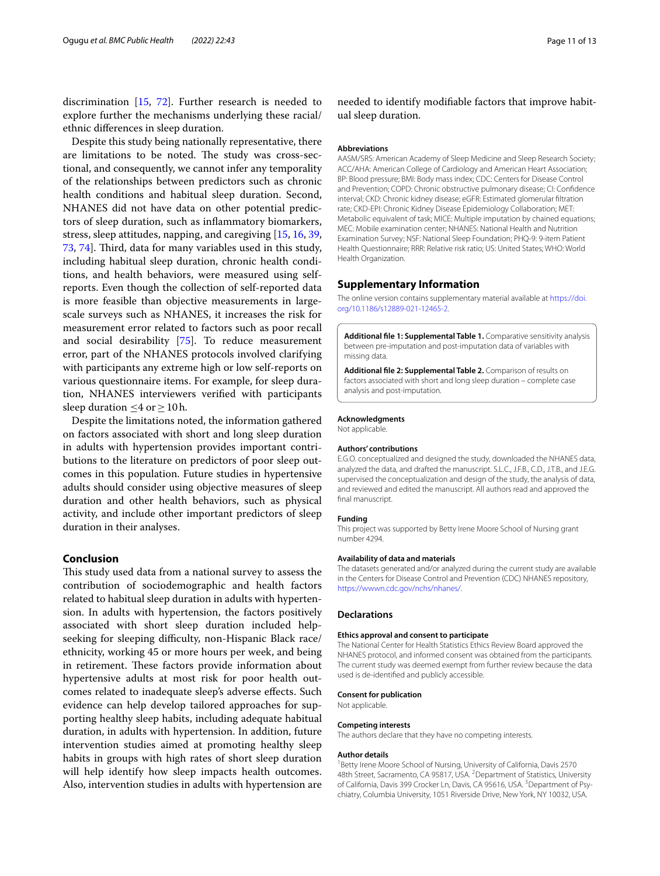discrimination [[15](#page-11-12), [72](#page-12-30)]. Further research is needed to explore further the mechanisms underlying these racial/ ethnic diferences in sleep duration.

Despite this study being nationally representative, there are limitations to be noted. The study was cross-sectional, and consequently, we cannot infer any temporality of the relationships between predictors such as chronic health conditions and habitual sleep duration. Second, NHANES did not have data on other potential predictors of sleep duration, such as infammatory biomarkers, stress, sleep attitudes, napping, and caregiving [[15,](#page-11-12) [16](#page-11-13), [39](#page-11-36), [73,](#page-12-31) [74](#page-12-32)]. Third, data for many variables used in this study, including habitual sleep duration, chronic health conditions, and health behaviors, were measured using selfreports. Even though the collection of self-reported data is more feasible than objective measurements in largescale surveys such as NHANES, it increases the risk for measurement error related to factors such as poor recall and social desirability [\[75](#page-12-33)]. To reduce measurement error, part of the NHANES protocols involved clarifying with participants any extreme high or low self-reports on various questionnaire items. For example, for sleep duration, NHANES interviewers verifed with participants sleep duration  $\leq 4$  or  $\geq 10$  h.

Despite the limitations noted, the information gathered on factors associated with short and long sleep duration in adults with hypertension provides important contributions to the literature on predictors of poor sleep outcomes in this population. Future studies in hypertensive adults should consider using objective measures of sleep duration and other health behaviors, such as physical activity, and include other important predictors of sleep duration in their analyses.

# **Conclusion**

This study used data from a national survey to assess the contribution of sociodemographic and health factors related to habitual sleep duration in adults with hypertension. In adults with hypertension, the factors positively associated with short sleep duration included helpseeking for sleeping difficulty, non-Hispanic Black race/ ethnicity, working 45 or more hours per week, and being in retirement. These factors provide information about hypertensive adults at most risk for poor health outcomes related to inadequate sleep's adverse efects. Such evidence can help develop tailored approaches for supporting healthy sleep habits, including adequate habitual duration, in adults with hypertension. In addition, future intervention studies aimed at promoting healthy sleep habits in groups with high rates of short sleep duration will help identify how sleep impacts health outcomes. Also, intervention studies in adults with hypertension are

needed to identify modifable factors that improve habitual sleep duration.

#### **Abbreviations**

AASM/SRS: American Academy of Sleep Medicine and Sleep Research Society; ACC/AHA: American College of Cardiology and American Heart Association; BP: Blood pressure; BMI: Body mass index; CDC: Centers for Disease Control and Prevention; COPD: Chronic obstructive pulmonary disease; CI: Confdence interval; CKD: Chronic kidney disease; eGFR: Estimated glomerular fltration rate; CKD-EPI: Chronic Kidney Disease Epidemiology Collaboration; MET: Metabolic equivalent of task; MICE: Multiple imputation by chained equations; MEC: Mobile examination center; NHANES: National Health and Nutrition Examination Survey; NSF: National Sleep Foundation; PHQ-9: 9-item Patient Health Questionnaire; RRR: Relative risk ratio; US: United States; WHO: World Health Organization.

#### **Supplementary Information**

The online version contains supplementary material available at [https://doi.](https://doi.org/10.1186/s12889-021-12465-2) [org/10.1186/s12889-021-12465-2](https://doi.org/10.1186/s12889-021-12465-2).

<span id="page-10-0"></span>**Additional fle 1: Supplemental Table 1.** Comparative sensitivity analysis between pre-imputation and post-imputation data of variables with missing data.

<span id="page-10-1"></span>**Additional fle 2: Supplemental Table 2.** Comparison of results on factors associated with short and long sleep duration – complete case analysis and post-imputation.

#### **Acknowledgments**

Not applicable.

#### **Authors' contributions**

E.G.O. conceptualized and designed the study, downloaded the NHANES data, analyzed the data, and drafted the manuscript. S.L.C., J.F.B., C.D., J.T.B., and J.E.G. supervised the conceptualization and design of the study, the analysis of data, and reviewed and edited the manuscript. All authors read and approved the fnal manuscript.

## **Funding**

This project was supported by Betty Irene Moore School of Nursing grant number 4294.

#### **Availability of data and materials**

The datasets generated and/or analyzed during the current study are available in the Centers for Disease Control and Prevention (CDC) NHANES repository, [https://wwwn.cdc.gov/nchs/nhanes/.](https://wwwn.cdc.gov/nchs/nhanes/)

#### **Declarations**

#### **Ethics approval and consent to participate**

The National Center for Health Statistics Ethics Review Board approved the NHANES protocol, and informed consent was obtained from the participants. The current study was deemed exempt from further review because the data used is de-identifed and publicly accessible.

#### **Consent for publication**

Not applicable.

#### **Competing interests**

The authors declare that they have no competing interests.

#### **Author details**

<sup>1</sup> Betty Irene Moore School of Nursing, University of California, Davis 2570 48th Street, Sacramento, CA 95817, USA. <sup>2</sup> Department of Statistics, University of California, Davis 399 Crocker Ln, Davis, CA 95616, USA. <sup>3</sup> Department of Psychiatry, Columbia University, 1051 Riverside Drive, New York, NY 10032, USA.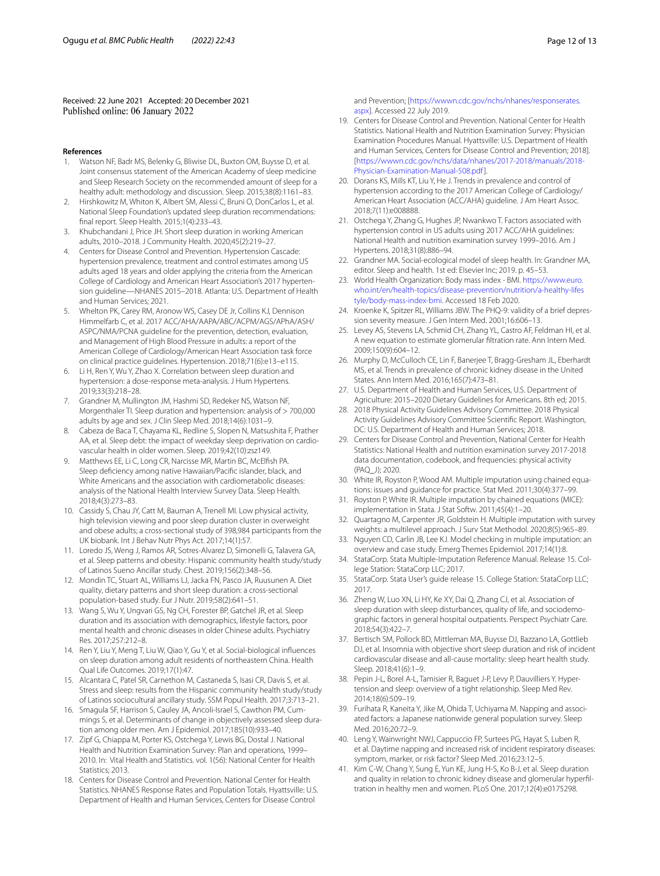Received: 22 June 2021 Accepted: 20 December 2021

#### **References**

- <span id="page-11-0"></span>Watson NF, Badr MS, Belenky G, Bliwise DL, Buxton OM, Buysse D, et al. Joint consensus statement of the American Academy of sleep medicine and Sleep Research Society on the recommended amount of sleep for a healthy adult: methodology and discussion. Sleep. 2015;38(8):1161–83.
- <span id="page-11-1"></span>2. Hirshkowitz M, Whiton K, Albert SM, Alessi C, Bruni O, DonCarlos L, et al. National Sleep Foundation's updated sleep duration recommendations: fnal report. Sleep Health. 2015;1(4):233–43.
- <span id="page-11-2"></span>3. Khubchandani J, Price JH. Short sleep duration in working American adults, 2010–2018. J Community Health. 2020;45(2):219–27.
- <span id="page-11-3"></span>4. Centers for Disease Control and Prevention. Hypertension Cascade: hypertension prevalence, treatment and control estimates among US adults aged 18 years and older applying the criteria from the American College of Cardiology and American Heart Association's 2017 hypertension guideline—NHANES 2015–2018. Atlanta: U.S. Department of Health and Human Services; 2021.
- <span id="page-11-4"></span>5. Whelton PK, Carey RM, Aronow WS, Casey DE Jr, Collins KJ, Dennison Himmelfarb C, et al. 2017 ACC/AHA/AAPA/ABC/ACPM/AGS/APhA/ASH/ ASPC/NMA/PCNA guideline for the prevention, detection, evaluation, and Management of High Blood Pressure in adults: a report of the American College of Cardiology/American Heart Association task force on clinical practice guidelines. Hypertension. 2018;71(6):e13–e115.
- <span id="page-11-5"></span>6. Li H, Ren Y, Wu Y, Zhao X. Correlation between sleep duration and hypertension: a dose-response meta-analysis. J Hum Hypertens. 2019;33(3):218–28.
- 7. Grandner M, Mullington JM, Hashmi SD, Redeker NS, Watson NF, Morgenthaler TI. Sleep duration and hypertension: analysis of > 700,000 adults by age and sex. J Clin Sleep Med. 2018;14(6):1031–9.
- 8. Cabeza de Baca T, Chayama KL, Redline S, Slopen N, Matsushita F, Prather AA, et al. Sleep debt: the impact of weekday sleep deprivation on cardiovascular health in older women. Sleep. 2019;42(10):zsz149.
- <span id="page-11-6"></span>Matthews EE, Li C, Long CR, Narcisse MR, Martin BC, McElfish PA. Sleep defciency among native Hawaiian/Pacifc islander, black, and White Americans and the association with cardiometabolic diseases: analysis of the National Health Interview Survey Data. Sleep Health. 2018;4(3):273–83.
- <span id="page-11-7"></span>10. Cassidy S, Chau JY, Catt M, Bauman A, Trenell MI. Low physical activity, high television viewing and poor sleep duration cluster in overweight and obese adults; a cross-sectional study of 398,984 participants from the UK biobank. Int J Behav Nutr Phys Act. 2017;14(1):57.
- <span id="page-11-8"></span>11. Loredo JS, Weng J, Ramos AR, Sotres-Alvarez D, Simonelli G, Talavera GA, et al. Sleep patterns and obesity: Hispanic community health study/study of Latinos Sueno Ancillar study. Chest. 2019;156(2):348–56.
- <span id="page-11-9"></span>12. Mondin TC, Stuart AL, Williams LJ, Jacka FN, Pasco JA, Ruusunen A. Diet quality, dietary patterns and short sleep duration: a cross-sectional population-based study. Eur J Nutr. 2019;58(2):641–51.
- <span id="page-11-10"></span>13. Wang S, Wu Y, Ungvari GS, Ng CH, Forester BP, Gatchel JR, et al. Sleep duration and its association with demographics, lifestyle factors, poor mental health and chronic diseases in older Chinese adults. Psychiatry Res. 2017;257:212–8.
- <span id="page-11-11"></span>14. Ren Y, Liu Y, Meng T, Liu W, Qiao Y, Gu Y, et al. Social-biological infuences on sleep duration among adult residents of northeastern China. Health Qual Life Outcomes. 2019;17(1):47.
- <span id="page-11-12"></span>15. Alcantara C, Patel SR, Carnethon M, Castaneda S, Isasi CR, Davis S, et al. Stress and sleep: results from the Hispanic community health study/study of Latinos sociocultural ancillary study. SSM Popul Health. 2017;3:713–21.
- <span id="page-11-13"></span>16. Smagula SF, Harrison S, Cauley JA, Ancoli-Israel S, Cawthon PM, Cummings S, et al. Determinants of change in objectively assessed sleep duration among older men. Am J Epidemiol. 2017;185(10):933–40.
- <span id="page-11-14"></span>17. Zipf G, Chiappa M, Porter KS, Ostchega Y, Lewis BG, Dostal J. National Health and Nutrition Examination Survey: Plan and operations, 1999– 2010. In: Vital Health and Statistics. vol. 1(56): National Center for Health Statistics; 2013.
- <span id="page-11-15"></span>18. Centers for Disease Control and Prevention. National Center for Health Statistics. NHANES Response Rates and Population Totals. Hyattsville: U.S. Department of Health and Human Services, Centers for Disease Control

and Prevention; [\[https://wwwn.cdc.gov/nchs/nhanes/responserates.](https://wwwn.cdc.gov/nchs/nhanes/responserates.aspx) [aspx](https://wwwn.cdc.gov/nchs/nhanes/responserates.aspx)]. Accessed 22 July 2019.

- <span id="page-11-16"></span>19. Centers for Disease Control and Prevention. National Center for Health Statistics. National Health and Nutrition Examination Survey: Physician Examination Procedures Manual. Hyattsville: U.S. Department of Health and Human Services, Centers for Disease Control and Prevention; 2018]. [[https://wwwn.cdc.gov/nchs/data/nhanes/2017-2018/manuals/2018-](https://wwwn.cdc.gov/nchs/data/nhanes/2017-2018/manuals/2018-Physician-Examination-Manual-508.pdf) [Physician-Examination-Manual-508.pdf\]](https://wwwn.cdc.gov/nchs/data/nhanes/2017-2018/manuals/2018-Physician-Examination-Manual-508.pdf).
- <span id="page-11-17"></span>20. Dorans KS, Mills KT, Liu Y, He J. Trends in prevalence and control of hypertension according to the 2017 American College of Cardiology/ American Heart Association (ACC/AHA) guideline. J Am Heart Assoc. 2018;7(11):e008888.
- <span id="page-11-18"></span>21. Ostchega Y, Zhang G, Hughes JP, Nwankwo T. Factors associated with hypertension control in US adults using 2017 ACC/AHA guidelines: National Health and nutrition examination survey 1999–2016. Am J Hypertens. 2018;31(8):886–94.
- <span id="page-11-19"></span>22. Grandner MA. Social-ecological model of sleep health. In: Grandner MA, editor. Sleep and health. 1st ed: Elsevier Inc; 2019. p. 45–53.
- <span id="page-11-20"></span>23. World Health Organization: Body mass index - BMI. [https://www.euro.](https://www.euro.who.int/en/health-topics/disease-prevention/nutrition/a-healthy-lifestyle/body-mass-index-bmi) [who.int/en/health-topics/disease-prevention/nutrition/a-healthy-lifes](https://www.euro.who.int/en/health-topics/disease-prevention/nutrition/a-healthy-lifestyle/body-mass-index-bmi) [tyle/body-mass-index-bmi.](https://www.euro.who.int/en/health-topics/disease-prevention/nutrition/a-healthy-lifestyle/body-mass-index-bmi) Accessed 18 Feb 2020.
- <span id="page-11-21"></span>24. Kroenke K, Spitzer RL, Williams JBW. The PHQ-9: validity of a brief depression severity measure. J Gen Intern Med. 2001;16:606–13.
- <span id="page-11-22"></span>25. Levey AS, Stevens LA, Schmid CH, Zhang YL, Castro AF, Feldman HI, et al. A new equation to estimate glomerular fltration rate. Ann Intern Med. 2009;150(9):604–12.
- <span id="page-11-23"></span>26. Murphy D, McCulloch CE, Lin F, Banerjee T, Bragg-Gresham JL, Eberhardt MS, et al. Trends in prevalence of chronic kidney disease in the United States. Ann Intern Med. 2016;165(7):473–81.
- <span id="page-11-24"></span>27. U.S. Department of Health and Human Services, U.S. Department of Agriculture: 2015–2020 Dietary Guidelines for Americans. 8th ed; 2015.
- <span id="page-11-25"></span>28. 2018 Physical Activity Guidelines Advisory Committee. 2018 Physical Activity Guidelines Advisory Committee Scientifc Report. Washington, DC: U.S. Department of Health and Human Services; 2018.
- <span id="page-11-26"></span>29. Centers for Disease Control and Prevention, National Center for Health Statistics: National Health and nutrition examination survey 2017-2018 data documentation, codebook, and frequencies: physical activity (PAQ\_J); 2020.
- <span id="page-11-27"></span>30. White IR, Royston P, Wood AM. Multiple imputation using chained equations: issues and guidance for practice. Stat Med. 2011;30(4):377–99.
- <span id="page-11-28"></span>31. Royston P, White IR. Multiple imputation by chained equations (MICE): implementation in Stata. J Stat Softw. 2011;45(4):1–20.
- <span id="page-11-29"></span>32. Quartagno M, Carpenter JR, Goldstein H. Multiple imputation with survey weights: a multilevel approach. J Surv Stat Methodol. 2020;8(5):965–89.
- <span id="page-11-30"></span>33. Nguyen CD, Carlin JB, Lee KJ. Model checking in multiple imputation: an overview and case study. Emerg Themes Epidemiol. 2017;14(1):8.
- <span id="page-11-31"></span>34. StataCorp. Stata Multiple-Imputation Reference Manual. Release 15. College Station: StataCorp LLC; 2017.
- <span id="page-11-32"></span>35. StataCorp. Stata User's guide release 15. College Station: StataCorp LLC; 2017.
- <span id="page-11-33"></span>36. Zheng W, Luo XN, Li HY, Ke XY, Dai Q, Zhang CJ, et al. Association of sleep duration with sleep disturbances, quality of life, and sociodemographic factors in general hospital outpatients. Perspect Psychiatr Care. 2018;54(3):422–7.
- <span id="page-11-34"></span>37. Bertisch SM, Pollock BD, Mittleman MA, Buysse DJ, Bazzano LA, Gottlieb DJ, et al. Insomnia with objective short sleep duration and risk of incident cardiovascular disease and all-cause mortality: sleep heart health study. Sleep. 2018;41(6):1–9.
- <span id="page-11-35"></span>38. Pepin J-L, Borel A-L, Tamisier R, Baguet J-P, Levy P, Dauvilliers Y. Hypertension and sleep: overview of a tight relationship. Sleep Med Rev. 2014;18(6):509–19.
- <span id="page-11-36"></span>39. Furihata R, Kaneita Y, Jike M, Ohida T, Uchiyama M. Napping and associated factors: a Japanese nationwide general population survey. Sleep Med. 2016;20:72–9.
- <span id="page-11-37"></span>40. Leng Y, Wainwright NWJ, Cappuccio FP, Surtees PG, Hayat S, Luben R, et al. Daytime napping and increased risk of incident respiratory diseases: symptom, marker, or risk factor? Sleep Med. 2016;23:12–5.
- <span id="page-11-38"></span>41. Kim C-W, Chang Y, Sung E, Yun KE, Jung H-S, Ko B-J, et al. Sleep duration and quality in relation to chronic kidney disease and glomerular hyperfltration in healthy men and women. PLoS One. 2017;12(4):e0175298.